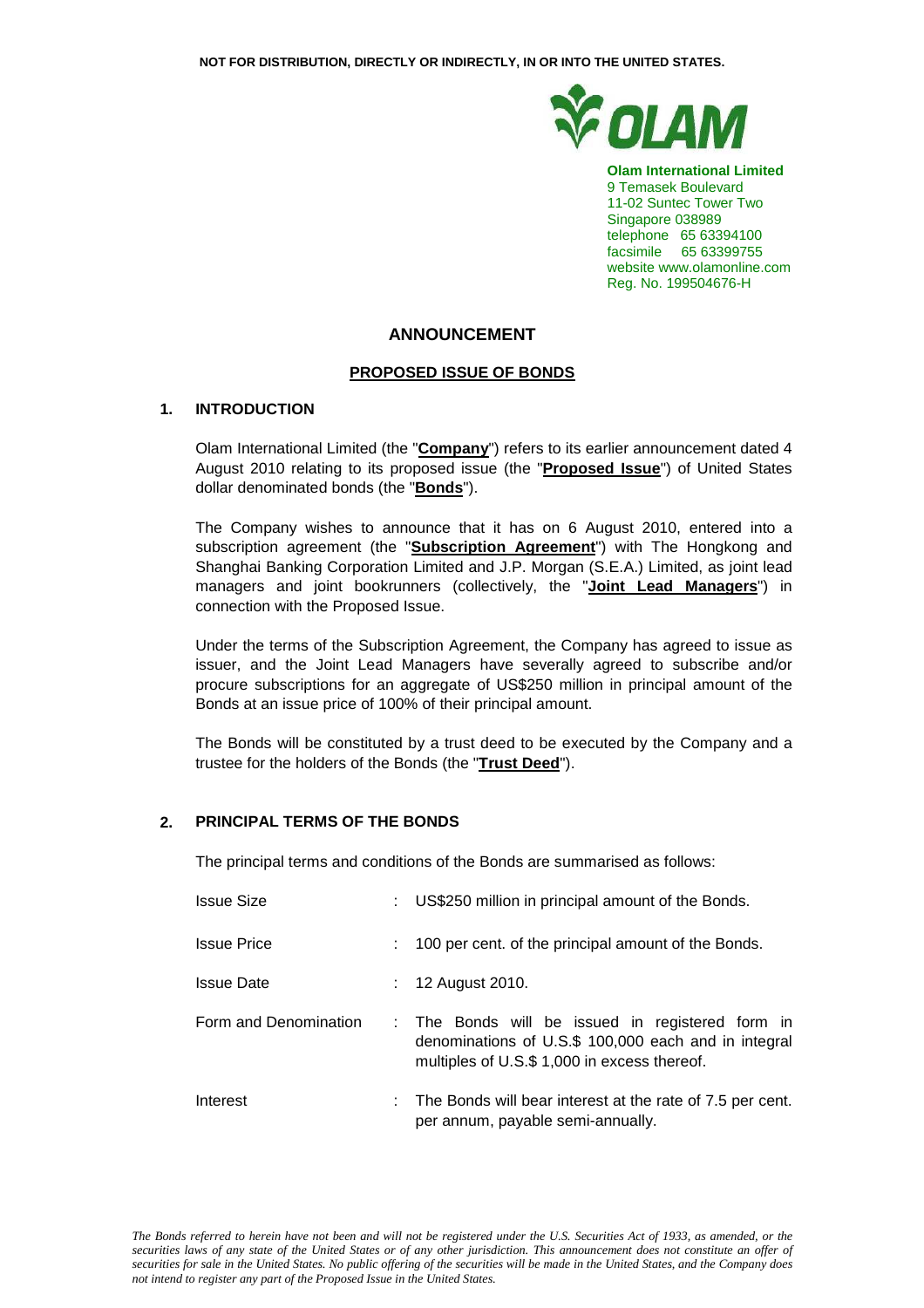

**Olam International Limited**  9 Temasek Boulevard 11-02 Suntec Tower Two Singapore 038989 telephone 65 63394100 facsimile 65 63399755 website www.olamonline.com Reg. No. 199504676-H

# **ANNOUNCEMENT**

### **PROPOSED ISSUE OF BONDS**

### **1. INTRODUCTION**

Olam International Limited (the "**Company**") refers to its earlier announcement dated 4 August 2010 relating to its proposed issue (the "**Proposed Issue**") of United States dollar denominated bonds (the "**Bonds**").

The Company wishes to announce that it has on 6 August 2010, entered into a subscription agreement (the "**Subscription Agreement**") with The Hongkong and Shanghai Banking Corporation Limited and J.P. Morgan (S.E.A.) Limited, as joint lead managers and joint bookrunners (collectively, the "**Joint Lead Managers**") in connection with the Proposed Issue.

Under the terms of the Subscription Agreement, the Company has agreed to issue as issuer, and the Joint Lead Managers have severally agreed to subscribe and/or procure subscriptions for an aggregate of US\$250 million in principal amount of the Bonds at an issue price of 100% of their principal amount.

The Bonds will be constituted by a trust deed to be executed by the Company and a trustee for the holders of the Bonds (the "**Trust Deed**").

### **2. PRINCIPAL TERMS OF THE BONDS**

The principal terms and conditions of the Bonds are summarised as follows:

| <b>Issue Size</b>     | ÷ | US\$250 million in principal amount of the Bonds.                                                                                                        |
|-----------------------|---|----------------------------------------------------------------------------------------------------------------------------------------------------------|
| <b>Issue Price</b>    |   | 100 per cent. of the principal amount of the Bonds.                                                                                                      |
| <b>Issue Date</b>     |   | 12 August 2010.                                                                                                                                          |
| Form and Denomination |   | : The Bonds will be issued in registered form in<br>denominations of U.S.\$ 100,000 each and in integral<br>multiples of U.S.\$ 1,000 in excess thereof. |
| Interest              |   | $\therefore$ The Bonds will bear interest at the rate of 7.5 per cent.<br>per annum, payable semi-annually.                                              |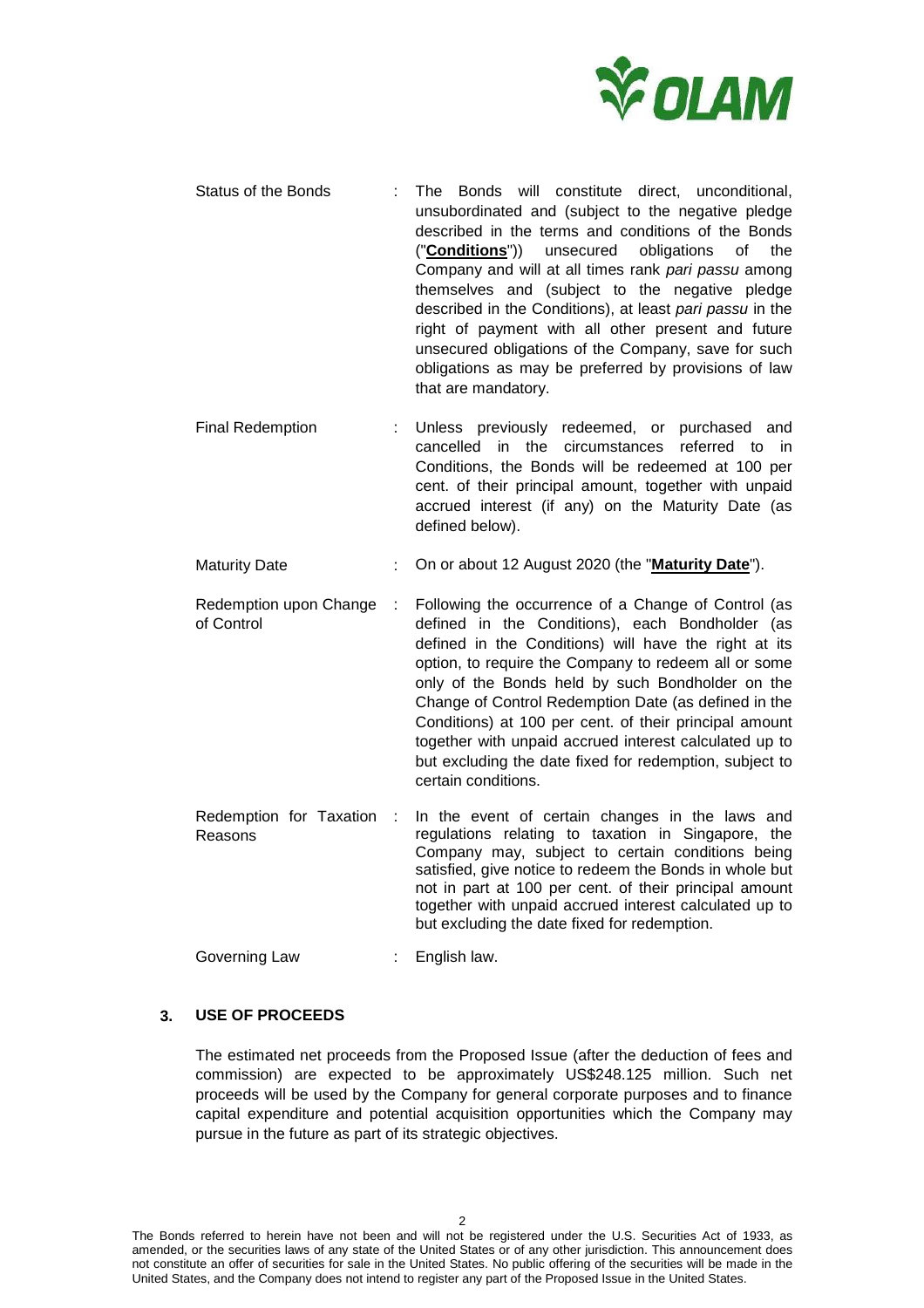

- Status of the Bonds : The Bonds will constitute direct, unconditional, unsubordinated and (subject to the negative pledge described in the terms and conditions of the Bonds ("**Conditions**")) unsecured obligations of the Company and will at all times rank pari passu among themselves and (subject to the negative pledge described in the Conditions), at least pari passu in the right of payment with all other present and future unsecured obligations of the Company, save for such obligations as may be preferred by provisions of law that are mandatory.
- Final Redemption : Unless previously redeemed, or purchased and cancelled in the circumstances referred to in Conditions, the Bonds will be redeemed at 100 per cent. of their principal amount, together with unpaid accrued interest (if any) on the Maturity Date (as defined below).
- Maturity Date **:** On or about 12 August 2020 (the "**Maturity Date**").
- Redemption upon Change of Control : Following the occurrence of a Change of Control (as defined in the Conditions), each Bondholder (as defined in the Conditions) will have the right at its option, to require the Company to redeem all or some only of the Bonds held by such Bondholder on the Change of Control Redemption Date (as defined in the Conditions) at 100 per cent. of their principal amount together with unpaid accrued interest calculated up to but excluding the date fixed for redemption, subject to certain conditions.
- Redemption for Taxation Reasons In the event of certain changes in the laws and regulations relating to taxation in Singapore, the Company may, subject to certain conditions being satisfied, give notice to redeem the Bonds in whole but not in part at 100 per cent. of their principal amount together with unpaid accrued interest calculated up to but excluding the date fixed for redemption.

Governing Law : English law.

## **3. USE OF PROCEEDS**

The estimated net proceeds from the Proposed Issue (after the deduction of fees and commission) are expected to be approximately US\$248.125 million. Such net proceeds will be used by the Company for general corporate purposes and to finance capital expenditure and potential acquisition opportunities which the Company may pursue in the future as part of its strategic objectives.

The Bonds referred to herein have not been and will not be registered under the U.S. Securities Act of 1933, as amended, or the securities laws of any state of the United States or of any other jurisdiction. This announcement does not constitute an offer of securities for sale in the United States. No public offering of the securities will be made in the United States, and the Company does not intend to register any part of the Proposed Issue in the United States.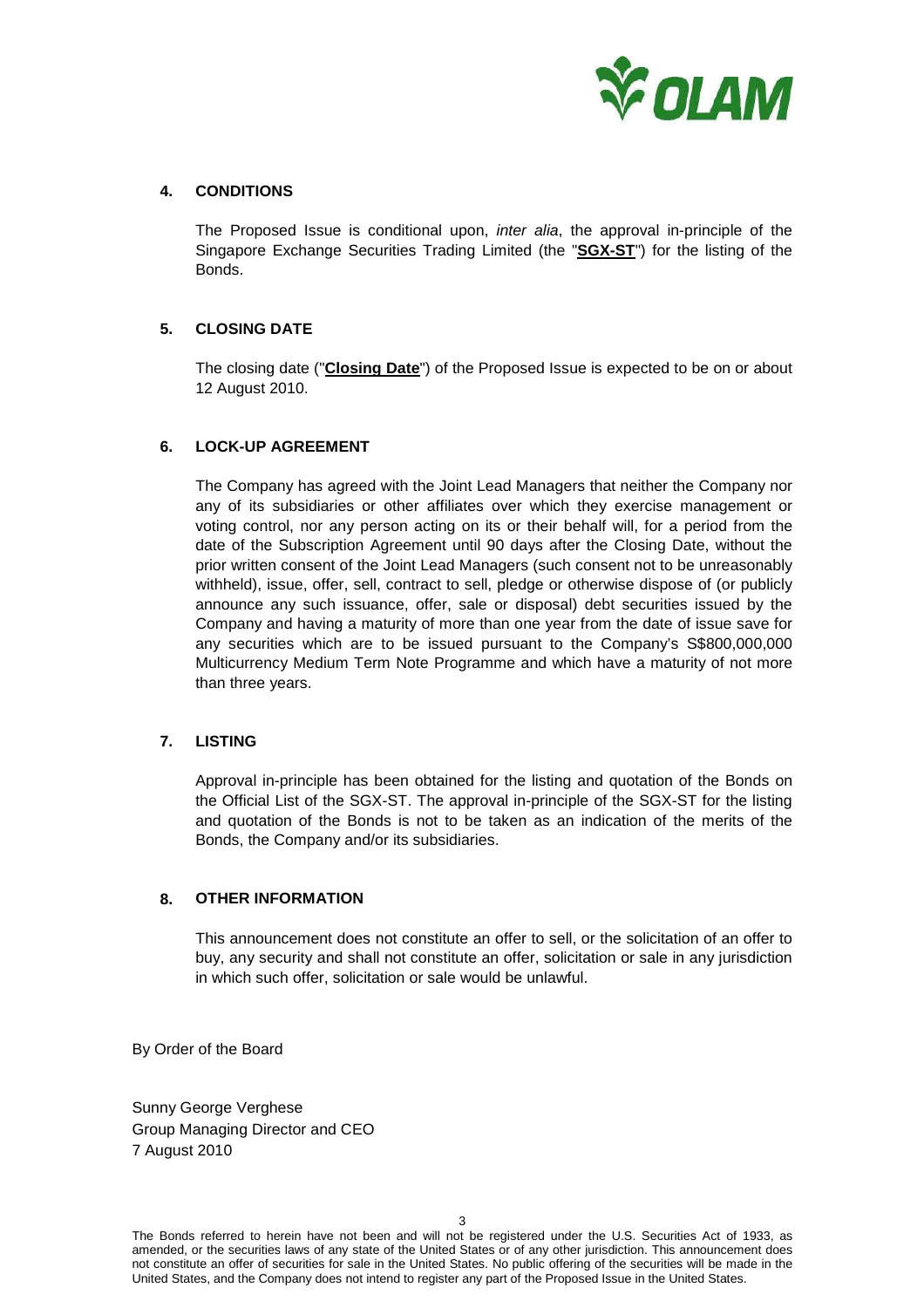

# **4. CONDITIONS**

The Proposed Issue is conditional upon, inter alia, the approval in-principle of the Singapore Exchange Securities Trading Limited (the "**SGX-ST**") for the listing of the Bonds.

# **5. CLOSING DATE**

The closing date ("**Closing Date**") of the Proposed Issue is expected to be on or about 12 August 2010.

### **6. LOCK-UP AGREEMENT**

The Company has agreed with the Joint Lead Managers that neither the Company nor any of its subsidiaries or other affiliates over which they exercise management or voting control, nor any person acting on its or their behalf will, for a period from the date of the Subscription Agreement until 90 days after the Closing Date, without the prior written consent of the Joint Lead Managers (such consent not to be unreasonably withheld), issue, offer, sell, contract to sell, pledge or otherwise dispose of (or publicly announce any such issuance, offer, sale or disposal) debt securities issued by the Company and having a maturity of more than one year from the date of issue save for any securities which are to be issued pursuant to the Company's S\$800,000,000 Multicurrency Medium Term Note Programme and which have a maturity of not more than three years.

### **7. LISTING**

Approval in-principle has been obtained for the listing and quotation of the Bonds on the Official List of the SGX-ST. The approval in-principle of the SGX-ST for the listing and quotation of the Bonds is not to be taken as an indication of the merits of the Bonds, the Company and/or its subsidiaries.

### **8. OTHER INFORMATION**

This announcement does not constitute an offer to sell, or the solicitation of an offer to buy, any security and shall not constitute an offer, solicitation or sale in any jurisdiction in which such offer, solicitation or sale would be unlawful.

By Order of the Board

Sunny George Verghese Group Managing Director and CEO 7 August 2010